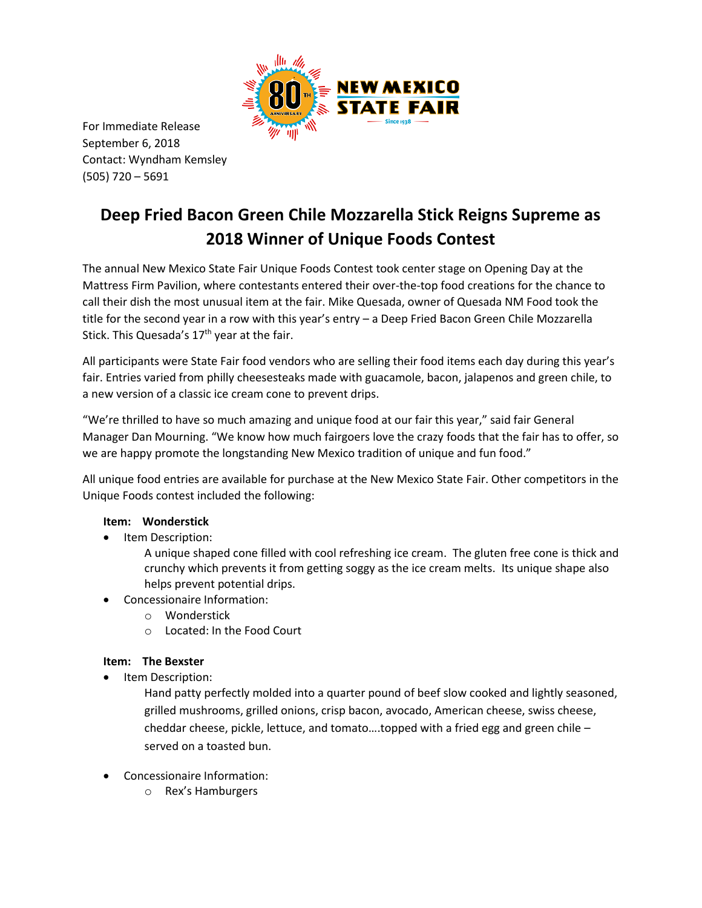

For Immediate Release September 6, 2018 Contact: Wyndham Kemsley (505) 720 – 5691

# **Deep Fried Bacon Green Chile Mozzarella Stick Reigns Supreme as 2018 Winner of Unique Foods Contest**

The annual New Mexico State Fair Unique Foods Contest took center stage on Opening Day at the Mattress Firm Pavilion, where contestants entered their over-the-top food creations for the chance to call their dish the most unusual item at the fair. Mike Quesada, owner of Quesada NM Food took the title for the second year in a row with this year's entry – a Deep Fried Bacon Green Chile Mozzarella Stick. This Quesada's  $17<sup>th</sup>$  year at the fair.

All participants were State Fair food vendors who are selling their food items each day during this year's fair. Entries varied from philly cheesesteaks made with guacamole, bacon, jalapenos and green chile, to a new version of a classic ice cream cone to prevent drips.

"We're thrilled to have so much amazing and unique food at our fair this year," said fair General Manager Dan Mourning. "We know how much fairgoers love the crazy foods that the fair has to offer, so we are happy promote the longstanding New Mexico tradition of unique and fun food."

All unique food entries are available for purchase at the New Mexico State Fair. Other competitors in the Unique Foods contest included the following:

# **Item: Wonderstick**

- Item Description:
	- A unique shaped cone filled with cool refreshing ice cream. The gluten free cone is thick and crunchy which prevents it from getting soggy as the ice cream melts. Its unique shape also helps prevent potential drips.
- Concessionaire Information:
	- o Wonderstick
	- o Located: In the Food Court

# **Item: The Bexster**

Item Description:

Hand patty perfectly molded into a quarter pound of beef slow cooked and lightly seasoned, grilled mushrooms, grilled onions, crisp bacon, avocado, American cheese, swiss cheese, cheddar cheese, pickle, lettuce, and tomato....topped with a fried egg and green chile  $$ served on a toasted bun.

- Concessionaire Information:
	- o Rex's Hamburgers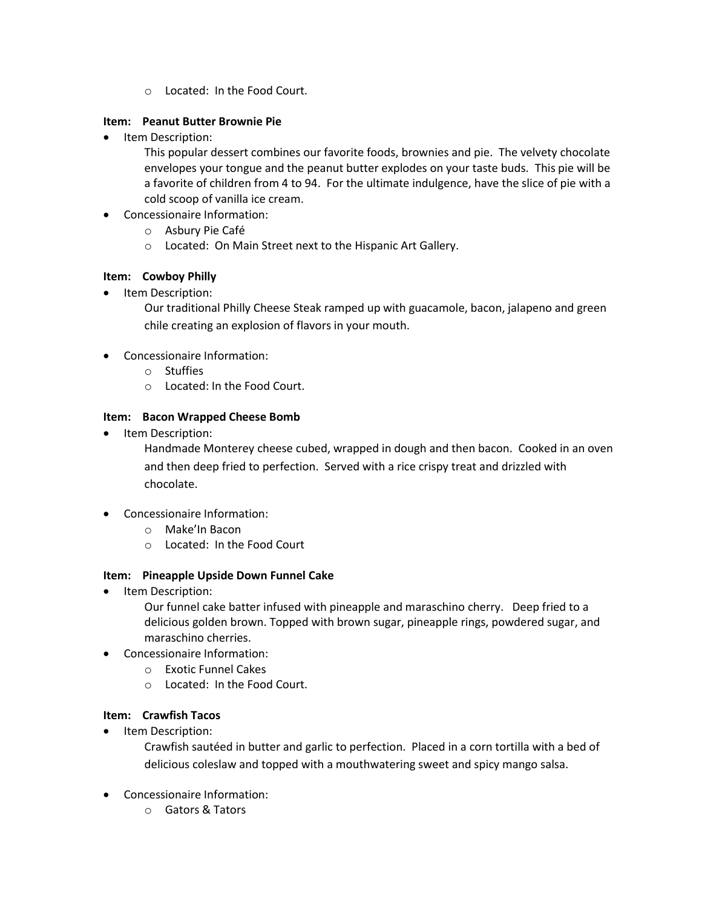o Located: In the Food Court.

## **Item: Peanut Butter Brownie Pie**

• Item Description:

This popular dessert combines our favorite foods, brownies and pie. The velvety chocolate envelopes your tongue and the peanut butter explodes on your taste buds. This pie will be a favorite of children from 4 to 94. For the ultimate indulgence, have the slice of pie with a cold scoop of vanilla ice cream.

- Concessionaire Information:
	- o Asbury Pie Café
	- o Located: On Main Street next to the Hispanic Art Gallery.

## **Item: Cowboy Philly**

Item Description:

Our traditional Philly Cheese Steak ramped up with guacamole, bacon, jalapeno and green chile creating an explosion of flavors in your mouth.

- Concessionaire Information:
	- o Stuffies
	- o Located: In the Food Court.

## **Item: Bacon Wrapped Cheese Bomb**

Item Description:

Handmade Monterey cheese cubed, wrapped in dough and then bacon. Cooked in an oven and then deep fried to perfection. Served with a rice crispy treat and drizzled with chocolate.

- Concessionaire Information:
	- o Make'In Bacon
	- o Located: In the Food Court

#### **Item: Pineapple Upside Down Funnel Cake**

Item Description:

Our funnel cake batter infused with pineapple and maraschino cherry. Deep fried to a delicious golden brown. Topped with brown sugar, pineapple rings, powdered sugar, and maraschino cherries.

- Concessionaire Information:
	- o Exotic Funnel Cakes
	- o Located: In the Food Court.

#### **Item: Crawfish Tacos**

• Item Description:

Crawfish sautéed in butter and garlic to perfection. Placed in a corn tortilla with a bed of delicious coleslaw and topped with a mouthwatering sweet and spicy mango salsa.

- Concessionaire Information:
	- o Gators & Tators